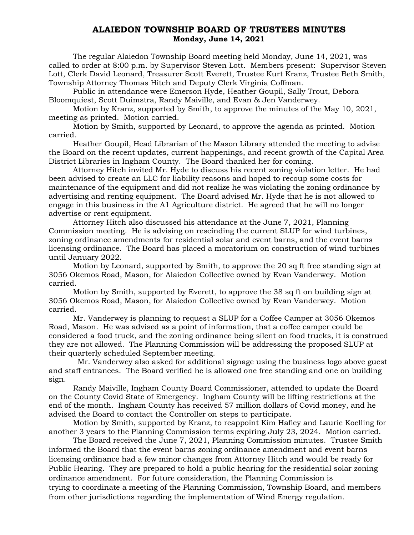## ALAIEDON TOWNSHIP BOARD OF TRUSTEES MINUTES Monday, June 14, 2021

The regular Alaiedon Township Board meeting held Monday, June 14, 2021, was called to order at 8:00 p.m. by Supervisor Steven Lott. Members present: Supervisor Steven Lott, Clerk David Leonard, Treasurer Scott Everett, Trustee Kurt Kranz, Trustee Beth Smith, Township Attorney Thomas Hitch and Deputy Clerk Virginia Coffman.

Public in attendance were Emerson Hyde, Heather Goupil, Sally Trout, Debora Bloomquiest, Scott Duimstra, Randy Maiville, and Evan & Jen Vanderwey.

Motion by Kranz, supported by Smith, to approve the minutes of the May 10, 2021, meeting as printed. Motion carried.

Motion by Smith, supported by Leonard, to approve the agenda as printed. Motion carried.

Heather Goupil, Head Librarian of the Mason Library attended the meeting to advise the Board on the recent updates, current happenings, and recent growth of the Capital Area District Libraries in Ingham County. The Board thanked her for coming.

Attorney Hitch invited Mr. Hyde to discuss his recent zoning violation letter. He had been advised to create an LLC for liability reasons and hoped to recoup some costs for maintenance of the equipment and did not realize he was violating the zoning ordinance by advertising and renting equipment. The Board advised Mr. Hyde that he is not allowed to engage in this business in the A1 Agriculture district. He agreed that he will no longer advertise or rent equipment.

Attorney Hitch also discussed his attendance at the June 7, 2021, Planning Commission meeting. He is advising on rescinding the current SLUP for wind turbines, zoning ordinance amendments for residential solar and event barns, and the event barns licensing ordinance. The Board has placed a moratorium on construction of wind turbines until January 2022.

Motion by Leonard, supported by Smith, to approve the 20 sq ft free standing sign at 3056 Okemos Road, Mason, for Alaiedon Collective owned by Evan Vanderwey. Motion carried.

Motion by Smith, supported by Everett, to approve the 38 sq ft on building sign at 3056 Okemos Road, Mason, for Alaiedon Collective owned by Evan Vanderwey. Motion carried.

Mr. Vanderwey is planning to request a SLUP for a Coffee Camper at 3056 Okemos Road, Mason. He was advised as a point of information, that a coffee camper could be considered a food truck, and the zoning ordinance being silent on food trucks, it is construed they are not allowed. The Planning Commission will be addressing the proposed SLUP at their quarterly scheduled September meeting.

 Mr. Vanderwey also asked for additional signage using the business logo above guest and staff entrances. The Board verified he is allowed one free standing and one on building sign.

Randy Maiville, Ingham County Board Commissioner, attended to update the Board on the County Covid State of Emergency. Ingham County will be lifting restrictions at the end of the month. Ingham County has received 57 million dollars of Covid money, and he advised the Board to contact the Controller on steps to participate.

Motion by Smith, supported by Kranz, to reappoint Kim Hafley and Laurie Koelling for another 3 years to the Planning Commission terms expiring July 23, 2024. Motion carried.

The Board received the June 7, 2021, Planning Commission minutes. Trustee Smith informed the Board that the event barns zoning ordinance amendment and event barns licensing ordinance had a few minor changes from Attorney Hitch and would be ready for Public Hearing. They are prepared to hold a public hearing for the residential solar zoning ordinance amendment. For future consideration, the Planning Commission is trying to coordinate a meeting of the Planning Commission, Township Board, and members from other jurisdictions regarding the implementation of Wind Energy regulation.